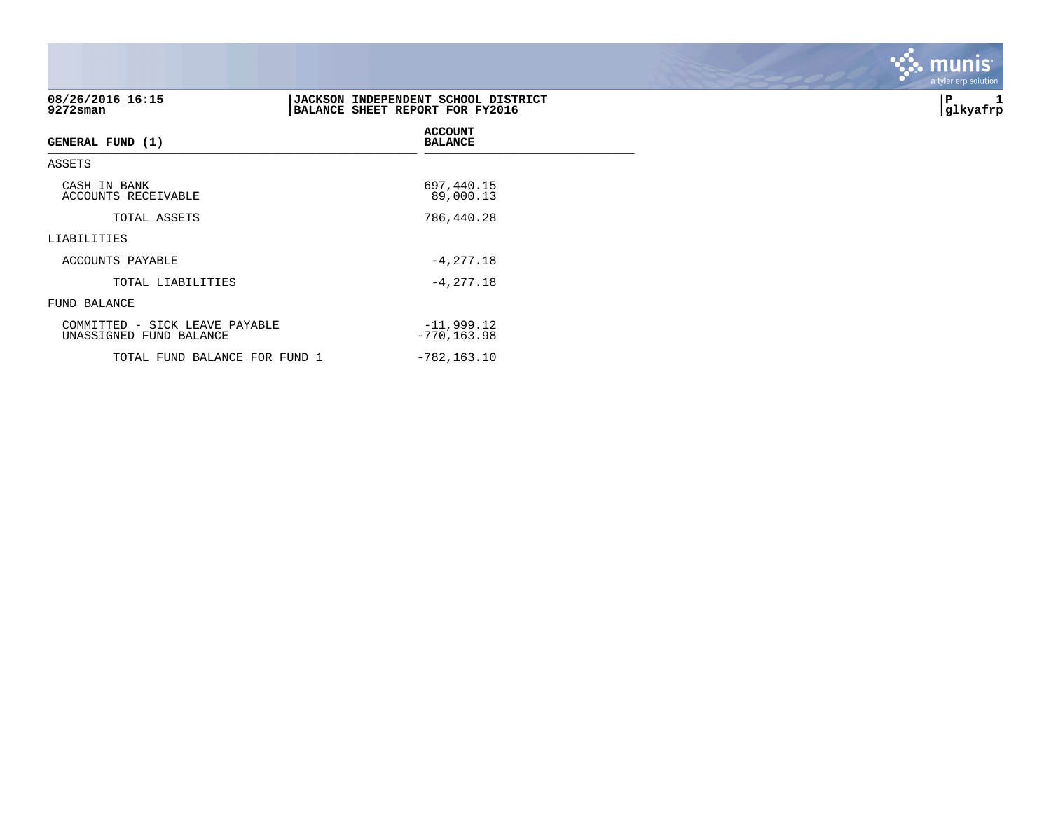| 08/26/2016 16:15<br>9272sman                              | JACKSON INDEPENDENT SCHOOL DISTRICT<br>BALANCE SHEET REPORT FOR FY2016 | P<br>glkyafrp |
|-----------------------------------------------------------|------------------------------------------------------------------------|---------------|
| <b>GENERAL FUND (1)</b>                                   | <b>ACCOUNT</b><br><b>BALANCE</b>                                       |               |
| ASSETS                                                    |                                                                        |               |
| CASH IN BANK<br>ACCOUNTS RECEIVABLE                       | 697,440.15<br>89,000.13                                                |               |
| TOTAL ASSETS                                              | 786,440.28                                                             |               |
| LIABILITIES                                               |                                                                        |               |
| ACCOUNTS PAYABLE                                          | $-4, 277.18$                                                           |               |
| TOTAL LIABILITIES                                         | $-4, 277.18$                                                           |               |
| FUND BALANCE                                              |                                                                        |               |
| COMMITTED - SICK LEAVE PAYABLE<br>UNASSIGNED FUND BALANCE | $-11,999.12$<br>$-770, 163.98$                                         |               |
| TOTAL FUND BALANCE FOR FUND 1                             | $-782, 163.10$                                                         |               |

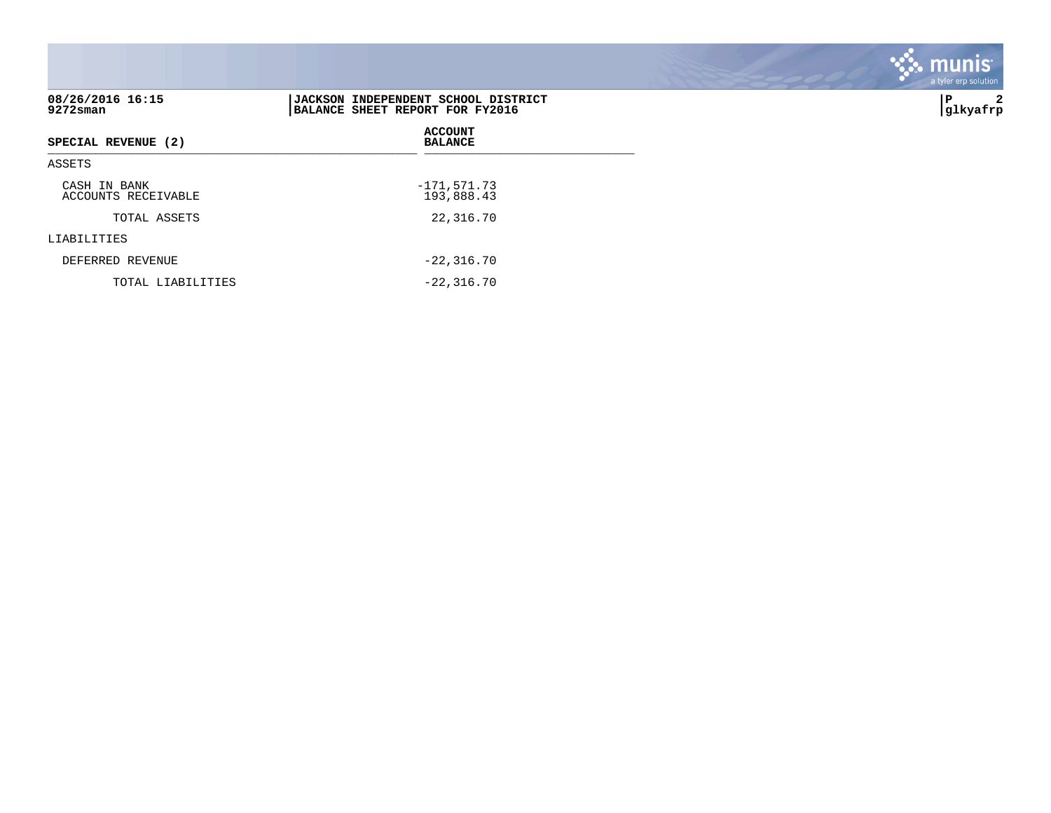| 08/26/2016 16:15<br>$9272$ sman     | JACKSON INDEPENDENT SCHOOL DISTRICT<br>BALANCE SHEET REPORT FOR FY2016 | 2<br>∣P<br> glkyafrp |
|-------------------------------------|------------------------------------------------------------------------|----------------------|
| SPECIAL REVENUE (2)                 | <b>ACCOUNT</b><br><b>BALANCE</b>                                       |                      |
| ASSETS                              |                                                                        |                      |
| CASH IN BANK<br>ACCOUNTS RECEIVABLE | $-171,571.73$<br>193,888.43                                            |                      |
| TOTAL ASSETS                        | 22,316.70                                                              |                      |
| LIABILITIES                         |                                                                        |                      |
| DEFERRED REVENUE                    | $-22, 316.70$                                                          |                      |
| TOTAL LIABILITIES                   | $-22.316.70$                                                           |                      |

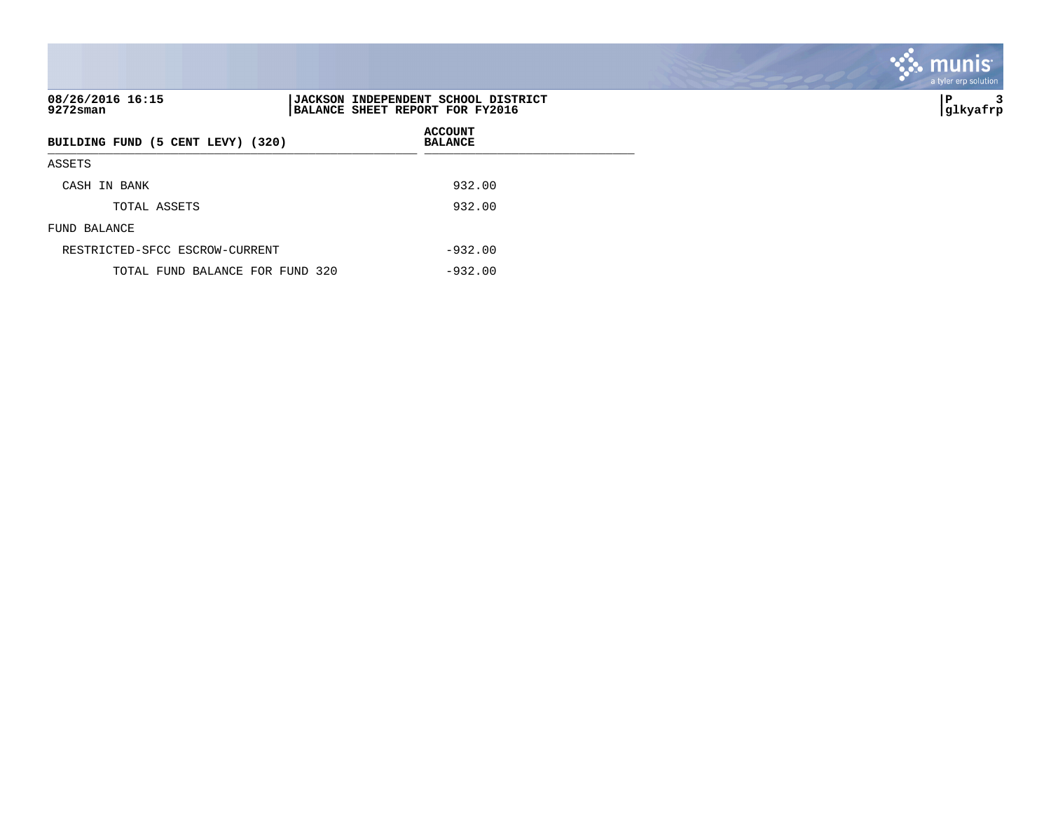| 08/26/2016 16:15<br>9272sman      |  | JACKSON INDEPENDENT SCHOOL DISTRICT<br>BALANCE SHEET REPORT FOR FY2016 |  |  |
|-----------------------------------|--|------------------------------------------------------------------------|--|--|
| BUILDING FUND (5 CENT LEVY) (320) |  | <b>ACCOUNT</b><br><b>BALANCE</b>                                       |  |  |
| ASSETS                            |  |                                                                        |  |  |
| CASH IN BANK                      |  | 932.00                                                                 |  |  |
| TOTAL ASSETS                      |  | 932.00                                                                 |  |  |
| FUND BALANCE                      |  |                                                                        |  |  |
| RESTRICTED-SFCC ESCROW-CURRENT    |  | $-932.00$                                                              |  |  |
| TOTAL FUND BALANCE FOR FUND 320   |  | $-932.00$                                                              |  |  |

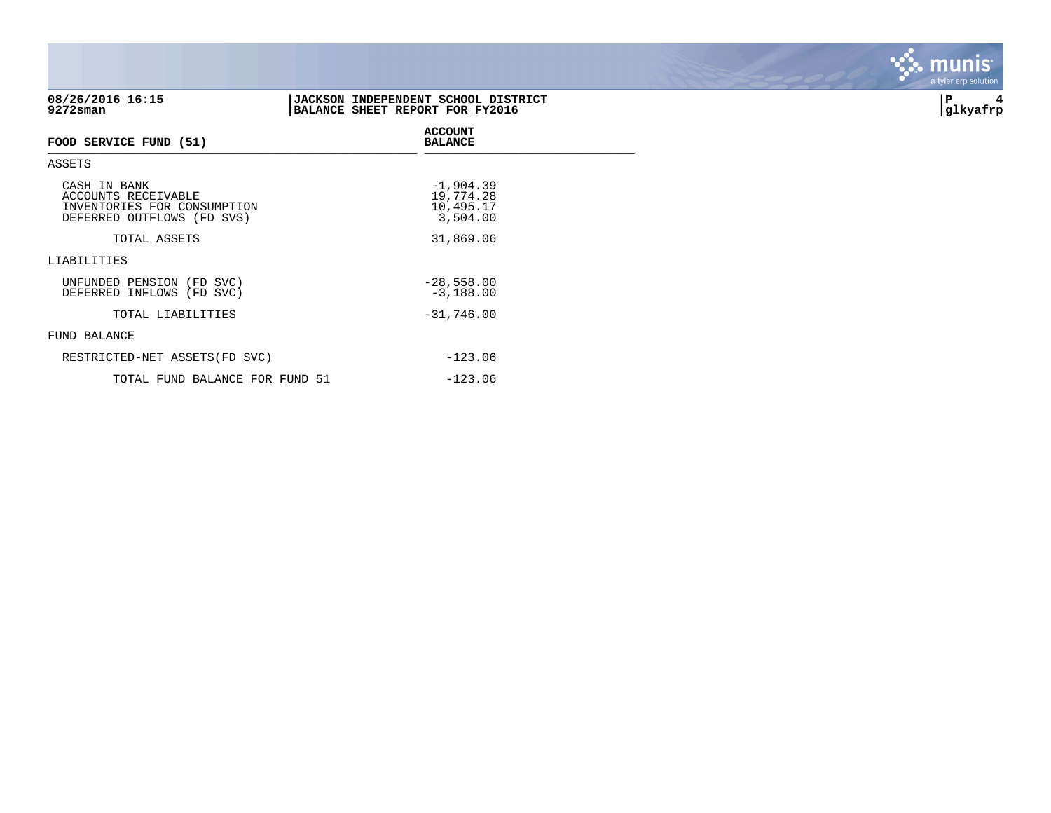| 08/26/2016 16:15<br>9272sman                                                                     | <b>JACKSON INDEPENDENT SCHOOL DISTRICT</b><br>BALANCE SHEET REPORT FOR FY2016 | ∣P<br>4<br>glkyafrp |
|--------------------------------------------------------------------------------------------------|-------------------------------------------------------------------------------|---------------------|
| FOOD SERVICE FUND (51)                                                                           | <b>ACCOUNT</b><br><b>BALANCE</b>                                              |                     |
| ASSETS                                                                                           |                                                                               |                     |
| CASH IN BANK<br>ACCOUNTS RECEIVABLE<br>INVENTORIES FOR CONSUMPTION<br>DEFERRED OUTFLOWS (FD SVS) | $-1,904.39$<br>19,774.28<br>10,495.17<br>3,504.00                             |                     |
| TOTAL ASSETS                                                                                     | 31,869.06                                                                     |                     |
| LIABILITIES                                                                                      |                                                                               |                     |
| UNFUNDED PENSION (FD SVC)<br>DEFERRED INFLOWS (FD SVC)                                           | $-28,558.00$<br>$-3,188.00$                                                   |                     |
| TOTAL LIABILITIES                                                                                | $-31,746.00$                                                                  |                     |
| FUND BALANCE                                                                                     |                                                                               |                     |
| RESTRICTED-NET ASSETS (FD SVC)                                                                   | $-123.06$                                                                     |                     |
|                                                                                                  |                                                                               |                     |

TOTAL FUND BALANCE FOR FUND 51 -123.06

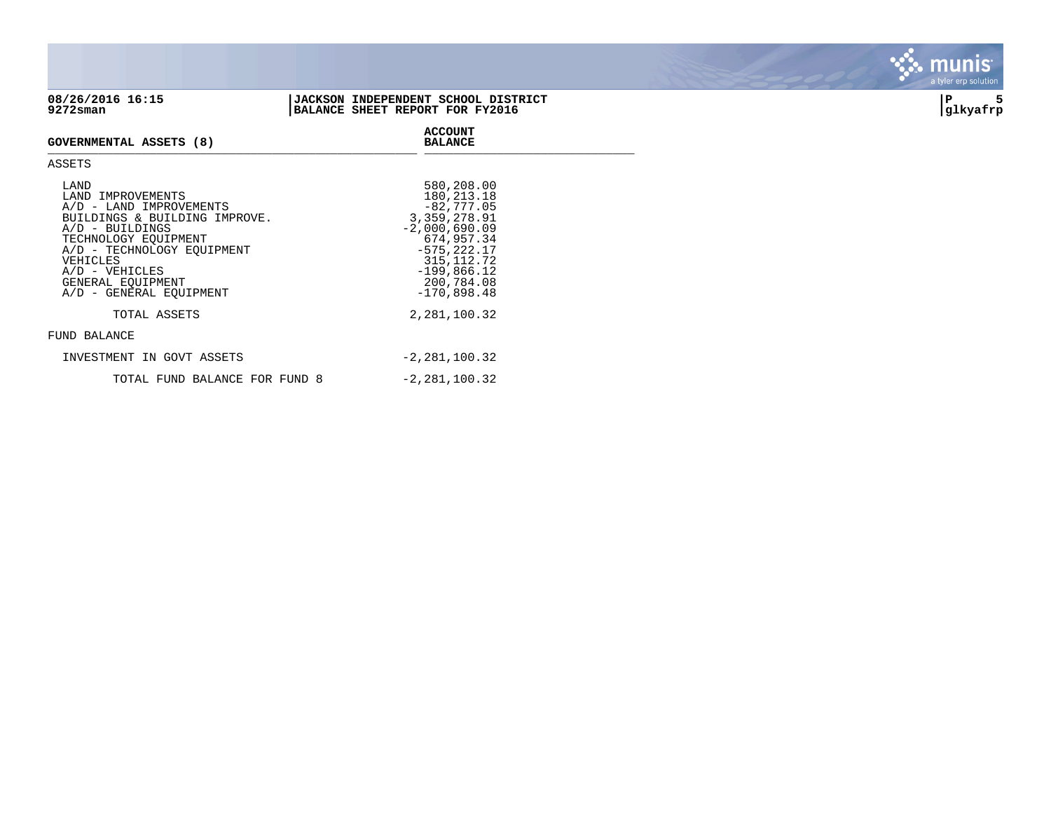

## **08/26/2016 16:15 |JACKSON INDEPENDENT SCHOOL DISTRICT |P 5 9272sman |BALANCE SHEET REPORT FOR FY2016 |glkyafrp**

**ACCOUNT**



**GOVERNMENTAL ASSETS (8)** GOVERNMENTAL ASSETS (0) ASSETS LAND <br>
LAND IMPROVEMENTS 580,208.00<br>
A/D - LAND IMPROVEMENTS 580,213.18<br>
BUILDINGS & BUILDING IMPROVE. 3,359,278.91 LAND IMPROVEMENTS  $A/D$  - LAND IMPROVEMENTS BUILDINGS & BUILDING IMPROVE.

| $A/D$ - BUILDINGS<br>TECHNOLOGY EOUIPMENT<br>A/D - TECHNOLOGY EOUIPMENT<br>VEHICLES<br>$A/D - VEHICLES$<br>GENERAL EOUIPMENT<br>A/D - GENERAL EOUIPMENT | $-2,000,690.09$<br>674,957.34<br>$-575, 222.17$<br>315, 112.72<br>$-199,866.12$<br>200,784.08<br>$-170,898.48$ |
|---------------------------------------------------------------------------------------------------------------------------------------------------------|----------------------------------------------------------------------------------------------------------------|
| TOTAL ASSETS                                                                                                                                            | 2,281,100.32                                                                                                   |
| FUND BALANCE                                                                                                                                            |                                                                                                                |
| INVESTMENT IN GOVT ASSETS                                                                                                                               | $-2,281,100.32$                                                                                                |
| TOTAL FUND BALANCE FOR FUND 8                                                                                                                           | $-2,281,100.32$                                                                                                |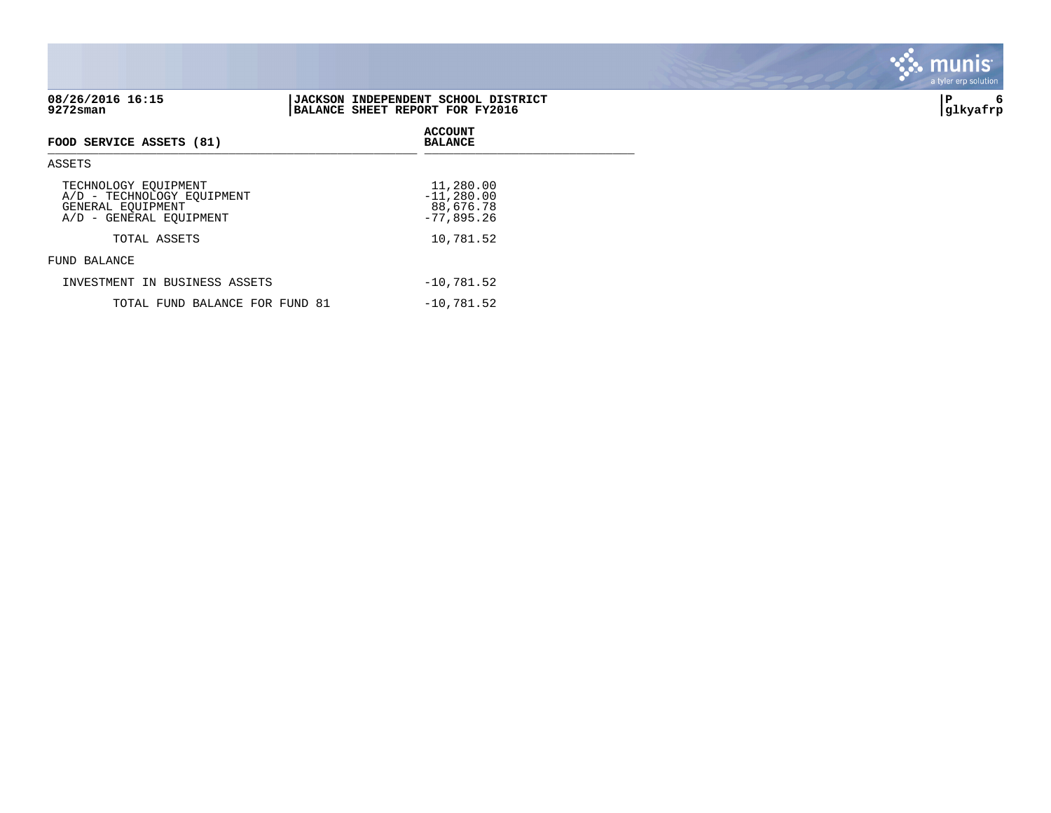| 08/26/2016 16:15<br>$9272$ sman                                                                    | JACKSON INDEPENDENT SCHOOL DISTRICT<br>BALANCE SHEET REPORT FOR FY2016 | ∣P<br>6<br> glkyafrp |
|----------------------------------------------------------------------------------------------------|------------------------------------------------------------------------|----------------------|
| FOOD SERVICE ASSETS (81)                                                                           | <b>ACCOUNT</b><br><b>BALANCE</b>                                       |                      |
| ASSETS                                                                                             |                                                                        |                      |
| TECHNOLOGY EQUIPMENT<br>A/D - TECHNOLOGY EOUIPMENT<br>GENERAL EQUIPMENT<br>A/D - GENERAL EQUIPMENT | 11,280.00<br>$-11, 280.00$<br>88,676.78<br>$-77,895.26$                |                      |
| TOTAL ASSETS                                                                                       | 10,781.52                                                              |                      |
| FUND BALANCE                                                                                       |                                                                        |                      |
| INVESTMENT IN BUSINESS ASSETS                                                                      | $-10,781.52$                                                           |                      |
| TOTAL FUND BALANCE FOR FUND 81                                                                     | $-10,781.52$                                                           |                      |